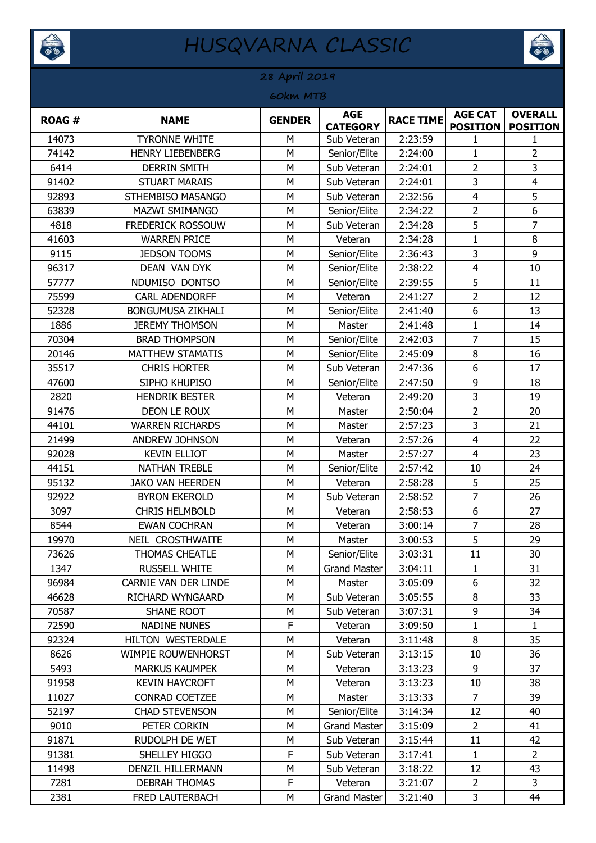



#### **ROAG # NAME GENDER AGE AGE RACE TIME AGE CAT**<br>**CATEGORY RACE TIME POSITION POSITION OVERALL POSITION** 14073 | TYRONNE WHITE | M | Sub Veteran | 2:23:59 | 1 74142 | HENRY LIEBENBERG | M | Senior/Elite | 2:24:00 | 1 | 2 6414 DERRIN SMITH M Sub Veteran 2:24:01 2 3 91402 | STUART MARAIS | M | Sub Veteran | 2:24:01 | 3 | 4 92893 STHEMBISO MASANGO H M Sub Veteran 1 2:32:56 4 F 63839 | MAZWI SMIMANGO | M | Senior/Elite | 2:34:22 | 2 | 6 4818 | FREDERICK ROSSOUW | M | Sub Veteran | 2:34:28 | 5 | 7 41603 WARREN PRICE M Veteran 2:34:28 1 8 9115 **JEDSON TOOMS** M Senior/Elite 2:36:43 3 9 96317 | DEAN VAN DYK | M | Senior/Elite | 2:38:22 | 4 | 10 57777 | NDUMISO DONTSO | M | Senior/Elite | 2:39:55 | 5 | 11 75599 | CARL ADENDORFF | M | Veteran | 2:41:27 | 2 | 12 52328 | BONGUMUSA ZIKHALI | M | Senior/Elite | 2:41:40 | 6 | 13 1886 JEREMY THOMSON H M H Master 2:41:48 1 1 14 70304 | BRAD THOMPSON | M | Senior/Elite | 2:42:03 | 7 | 15 20146 | MATTHEW STAMATIS | M | Senior/Elite | 2:45:09 | 8 | 16 35517 | CHRIS HORTER | M | Sub Veteran | 2:47:36 | 6 | 17 47600 | SIPHO KHUPISO | M Senior/Elite | 2:47:50 | 9 | 18 2820 **HENDRIK BESTER M** Veteran 2:49:20 3 19 91476 | DEON LE ROUX | M | Master | 2:50:04 | 2 | 20 44101 | WARREN RICHARDS | M | Master | 2:57:23 | 3 | 21 21499 | ANDREW JOHNSON | M | Veteran | 2:57:26 | 4 | 22 92028 | KEVIN ELLIOT | M | Master | 2:57:27 | 4 | 23 44151 | NATHAN TREBLE | M | Senior/Elite | 2:57:42 | 10 | 24 95132 JAKO VAN HEERDEN JM Veteran 2:58:28 J 5 J 25 92922 | BYRON EKEROLD | M | Sub Veteran | 2:58:52 | 7 | 26 3097 CHRIS HELMBOLD M Veteran 2:58:53 6 27 8544 | EWAN COCHRAN | M | Veteran | 3:00:14 | 7 | 28 19970 | NEIL CROSTHWAITE | M | Master | 3:00:53 | 5 | 29 73626 THOMAS CHEATLE THOMAS CHEATLE THOMAS CHEATLE THOMAS CHEATLE THING MELANO SENIOR MELANO 30 1347 | RUSSELL WHITE | M | Grand Master | 3:04:11 | 1 | 31 96984 | CARNIE VAN DER LINDE | M | Master | 3:05:09 | 6 | 32 46628 | RICHARD WYNGAARD | M | Sub Veteran | 3:05:55 | 8 | 33 70587 | SHANE ROOT | M | Sub Veteran | 3:07:31 | 9 | 34 72590 NADINE NUNES THE Veteran 3:09:50 1 1 1 92324 | HILTON WESTERDALE | M | Veteran | 3:11:48 | 8 | 35 8626 | WIMPIE ROUWENHORST | M | Sub Veteran | 3:13:15 | 10 | 36 5493 | MARKUS KAUMPEK | M | Veteran | 3:13:23 | 9 | 37 91958 | KEVIN HAYCROFT | M | Veteran | 3:13:23 | 10 | 38 11027 | CONRAD COETZEE | M | Master | 3:13:33 | 7 | 39 52197 | CHAD STEVENSON | M | Senior/Elite | 3:14:34 | 12 | 40 9010 **PETER CORKIN M** Grand Master 3:15:09 2 41 91871 | RUDOLPH DE WET | M | Sub Veteran | 3:15:44 | 11 | 42 91381 | SHELLEY HIGGO | F Sub Veteran | 3:17:41 | 1 | 2 11498 | DENZIL HILLERMANN | M | Sub Veteran | 3:18:22 | 12 | 43 7281 DEBRAH THOMAS | F | Veteran | 3:21:07 | 2 | 3 2381 | FRED LAUTERBACH | M | Grand Master | 3:21:40 | 3 | 44 **28 April 2019 60km MTB**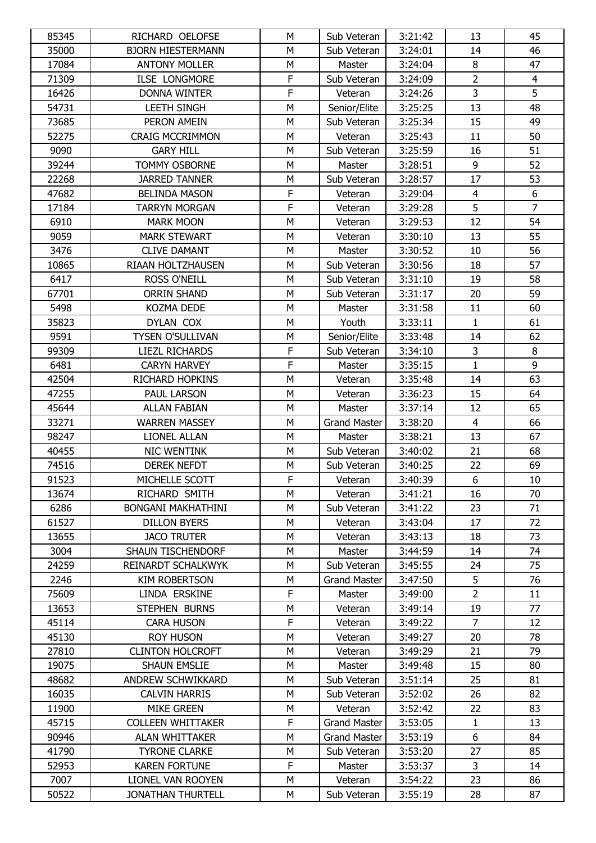| 85345 | RICHARD OELOFSE           | M           | Sub Veteran         | 3:21:42 | 13              | 45             |
|-------|---------------------------|-------------|---------------------|---------|-----------------|----------------|
| 35000 | <b>BJORN HIESTERMANN</b>  | M           | Sub Veteran         | 3:24:01 | 14              | 46             |
| 17084 | <b>ANTONY MOLLER</b>      | M           | Master              | 3:24:04 | 8               | 47             |
| 71309 | <b>ILSE LONGMORE</b>      | $\mathsf F$ | Sub Veteran         | 3:24:09 | $\overline{2}$  | $\overline{4}$ |
| 16426 | <b>DONNA WINTER</b>       | F           | Veteran             | 3:24:26 | $\overline{3}$  | 5              |
| 54731 | <b>LEETH SINGH</b>        | M           | Senior/Elite        | 3:25:25 | 13              | 48             |
| 73685 | PERON AMEIN               | M           | Sub Veteran         | 3:25:34 | 15              | 49             |
| 52275 | <b>CRAIG MCCRIMMON</b>    | M           | Veteran             | 3:25:43 | 11              | 50             |
| 9090  | <b>GARY HILL</b>          | М           | Sub Veteran         | 3:25:59 | 16              | 51             |
| 39244 | <b>TOMMY OSBORNE</b>      | M           | Master              | 3:28:51 | 9               | 52             |
| 22268 | <b>JARRED TANNER</b>      | M           | Sub Veteran         | 3:28:57 | 17              | 53             |
| 47682 | <b>BELINDA MASON</b>      | $\mathsf F$ | Veteran             | 3:29:04 | $\overline{4}$  | 6              |
| 17184 | <b>TARRYN MORGAN</b>      | F           | Veteran             | 3:29:28 | 5               | $\overline{7}$ |
| 6910  | <b>MARK MOON</b>          | M           | Veteran             | 3:29:53 | 12              | 54             |
| 9059  | <b>MARK STEWART</b>       | M           | Veteran             | 3:30:10 | 13              | 55             |
| 3476  | <b>CLIVE DAMANT</b>       | M           | Master              | 3:30:52 | 10              | 56             |
| 10865 | RIAAN HOLTZHAUSEN         | M           | Sub Veteran         | 3:30:56 | 18              | 57             |
| 6417  | <b>ROSS O'NEILL</b>       | M           | Sub Veteran         | 3:31:10 | 19              | 58             |
| 67701 | <b>ORRIN SHAND</b>        | M           | Sub Veteran         | 3:31:17 | 20              | 59             |
| 5498  | KOZMA DEDE                | M           | Master              | 3:31:58 | 11              | 60             |
| 35823 | DYLAN COX                 | M           | Youth               | 3:33:11 | $\mathbf{1}$    | 61             |
| 9591  | <b>TYSEN O'SULLIVAN</b>   | M           | Senior/Elite        | 3:33:48 | 14              | 62             |
| 99309 | LIEZL RICHARDS            | F           | Sub Veteran         | 3:34:10 | 3               | 8              |
| 6481  | <b>CARYN HARVEY</b>       | F           | Master              | 3:35:15 | $\mathbf{1}$    | $\overline{9}$ |
| 42504 | <b>RICHARD HOPKINS</b>    | M           | Veteran             | 3:35:48 | 14              | 63             |
| 47255 | PAUL LARSON               | M           | Veteran             | 3:36:23 | 15              | 64             |
| 45644 | <b>ALLAN FABIAN</b>       | M           | Master              | 3:37:14 | 12              | 65             |
| 33271 | <b>WARREN MASSEY</b>      | M           | <b>Grand Master</b> | 3:38:20 | $\overline{4}$  | 66             |
| 98247 | <b>LIONEL ALLAN</b>       | M           | Master              | 3:38:21 | 13              | 67             |
| 40455 | <b>NIC WENTINK</b>        | М           | Sub Veteran         | 3:40:02 | 21              | 68             |
| 74516 | <b>DEREK NEFDT</b>        | M           | Sub Veteran         | 3:40:25 | 22              | 69             |
| 91523 | MICHELLE SCOTT            | F           | Veteran             | 3:40:39 | $6\overline{6}$ | 10             |
| 13674 | RICHARD SMITH             | М           | Veteran             | 3:41:21 | 16              | 70             |
| 6286  | <b>BONGANI MAKHATHINI</b> | M           | Sub Veteran         | 3:41:22 | 23              | 71             |
| 61527 | DILLON BYERS              | м           | Veteran             | 3:43:04 | 17              | 72             |
| 13655 | <b>JACO TRUTER</b>        | M           | Veteran             | 3:43:13 | 18              | 73             |
| 3004  | <b>SHAUN TISCHENDORF</b>  | М           | Master              | 3:44:59 | 14              | 74             |
| 24259 | REINARDT SCHALKWYK        | М           | Sub Veteran         | 3:45:55 | 24              | 75             |
| 2246  | <b>KIM ROBERTSON</b>      | M           | Grand Master        | 3:47:50 | 5               | 76             |
| 75609 | LINDA ERSKINE             | F           | Master              | 3:49:00 | $\overline{2}$  | 11             |
| 13653 | STEPHEN BURNS             | М           | Veteran             | 3:49:14 | 19              | 77             |
| 45114 | <b>CARA HUSON</b>         | $\mathsf F$ | Veteran             | 3:49:22 | $\overline{7}$  | 12             |
| 45130 | <b>ROY HUSON</b>          | м           | Veteran             | 3:49:27 | 20              | 78             |
| 27810 | <b>CLINTON HOLCROFT</b>   | M           | Veteran             | 3:49:29 | 21              | 79             |
| 19075 | <b>SHAUN EMSLIE</b>       | M           | Master              | 3:49:48 | 15              | 80             |
| 48682 | ANDREW SCHWIKKARD         | М           | Sub Veteran         | 3:51:14 | 25              | 81             |
| 16035 | <b>CALVIN HARRIS</b>      | М           | Sub Veteran         | 3:52:02 | 26              | 82             |
| 11900 | <b>MIKE GREEN</b>         | M           | Veteran             | 3:52:42 | 22              | 83             |
| 45715 | <b>COLLEEN WHITTAKER</b>  | $\mathsf F$ | <b>Grand Master</b> | 3:53:05 | 1               | 13             |
| 90946 | <b>ALAN WHITTAKER</b>     | M           | <b>Grand Master</b> | 3:53:19 | 6               | 84             |
| 41790 | <b>TYRONE CLARKE</b>      | М           | Sub Veteran         | 3:53:20 | 27              | 85             |
| 52953 | <b>KAREN FORTUNE</b>      | $\mathsf F$ | Master              | 3:53:37 | $\overline{3}$  | 14             |
| 7007  | LIONEL VAN ROOYEN         | М           | Veteran             | 3:54:22 | 23              | 86             |
| 50522 | <b>JONATHAN THURTELL</b>  | M           | Sub Veteran         | 3:55:19 | 28              | 87             |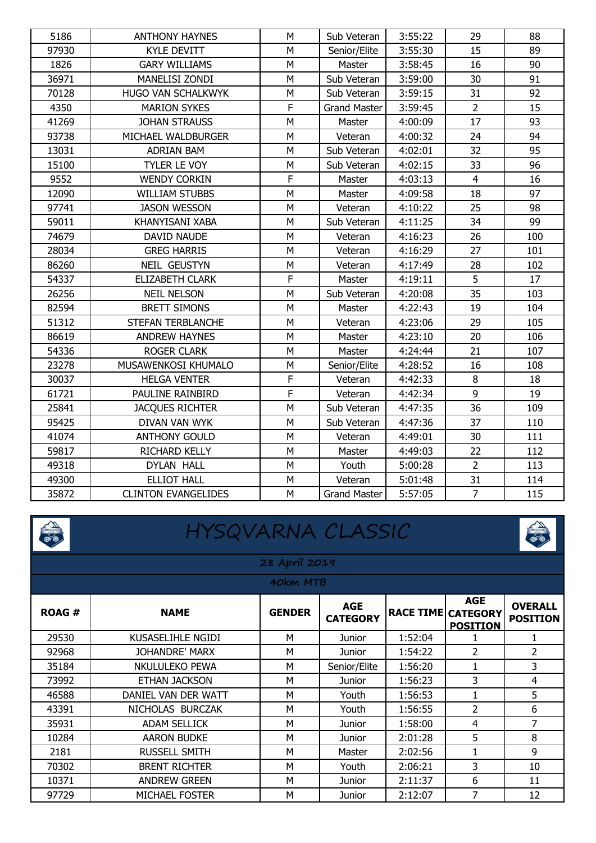| 5186  | <b>ANTHONY HAYNES</b>      | M            | Sub Veteran         | 3:55:22 | 29             | 88  |
|-------|----------------------------|--------------|---------------------|---------|----------------|-----|
| 97930 | <b>KYLE DEVITT</b>         | M            | Senior/Elite        | 3:55:30 | 15             | 89  |
| 1826  | <b>GARY WILLIAMS</b>       | M            | Master              | 3:58:45 | 16             | 90  |
| 36971 | MANELISI ZONDI             | М            | Sub Veteran         | 3:59:00 | 30             | 91  |
| 70128 | HUGO VAN SCHALKWYK         | M            | Sub Veteran         | 3:59:15 | 31             | 92  |
| 4350  | <b>MARION SYKES</b>        | $\mathsf F$  | <b>Grand Master</b> | 3:59:45 | $\overline{2}$ | 15  |
| 41269 | <b>JOHAN STRAUSS</b>       | M            | Master              | 4:00:09 | 17             | 93  |
| 93738 | MICHAEL WALDBURGER         | M            | Veteran             | 4:00:32 | 24             | 94  |
| 13031 | <b>ADRIAN BAM</b>          | M            | Sub Veteran         | 4:02:01 | 32             | 95  |
| 15100 | TYLER LE VOY               | M            | Sub Veteran         | 4:02:15 | 33             | 96  |
| 9552  | <b>WENDY CORKIN</b>        | F            | Master              | 4:03:13 | $\overline{4}$ | 16  |
| 12090 | <b>WILLIAM STUBBS</b>      | M            | Master              | 4:09:58 | 18             | 97  |
| 97741 | <b>JASON WESSON</b>        | M            | Veteran             | 4:10:22 | 25             | 98  |
| 59011 | KHANYISANI XABA            | M            | Sub Veteran         | 4:11:25 | 34             | 99  |
| 74679 | DAVID NAUDE                | M            | Veteran             | 4:16:23 | 26             | 100 |
| 28034 | <b>GREG HARRIS</b>         | M            | Veteran             | 4:16:29 | 27             | 101 |
| 86260 | NEIL GEUSTYN               | M            | Veteran             | 4:17:49 | 28             | 102 |
| 54337 | ELIZABETH CLARK            | $\mathsf F$  | Master              | 4:19:11 | 5              | 17  |
| 26256 | <b>NEIL NELSON</b>         | M            | Sub Veteran         | 4:20:08 | 35             | 103 |
| 82594 | <b>BRETT SIMONS</b>        | M            | Master              | 4:22:43 | 19             | 104 |
| 51312 | STEFAN TERBLANCHE          | M            | Veteran             | 4:23:06 | 29             | 105 |
| 86619 | <b>ANDREW HAYNES</b>       | M            | Master              | 4:23:10 | 20             | 106 |
| 54336 | <b>ROGER CLARK</b>         | M            | Master              | 4:24:44 | 21             | 107 |
| 23278 | MUSAWENKOSI KHUMALO        | M            | Senior/Elite        | 4:28:52 | 16             | 108 |
| 30037 | <b>HELGA VENTER</b>        | $\mathsf F$  | Veteran             | 4:42:33 | 8              | 18  |
| 61721 | PAULINE RAINBIRD           | $\mathsf{F}$ | Veteran             | 4:42:34 | 9              | 19  |
| 25841 | <b>JACQUES RICHTER</b>     | M            | Sub Veteran         | 4:47:35 | 36             | 109 |
| 95425 | DIVAN VAN WYK              | M            | Sub Veteran         | 4:47:36 | 37             | 110 |
| 41074 | <b>ANTHONY GOULD</b>       | M            | Veteran             | 4:49:01 | 30             | 111 |
| 59817 | RICHARD KELLY              | M            | Master              | 4:49:03 | 22             | 112 |
| 49318 | DYLAN HALL                 | M            | Youth               | 5:00:28 | $\overline{2}$ | 113 |
| 49300 | <b>ELLIOT HALL</b>         | M            | Veteran             | 5:01:48 | 31             | 114 |
| 35872 | <b>CLINTON EVANGELIDES</b> | M            | <b>Grand Master</b> | 5:57:05 | $\overline{7}$ | 115 |



# HYSQVARNA CLASSIC



|              | 28 April 2019         |               |                               |                           |                               |                                   |  |  |  |
|--------------|-----------------------|---------------|-------------------------------|---------------------------|-------------------------------|-----------------------------------|--|--|--|
|              | 40km MTB              |               |                               |                           |                               |                                   |  |  |  |
| <b>ROAG#</b> | <b>NAME</b>           | <b>GENDER</b> | <b>AGE</b><br><b>CATEGORY</b> | <b>RACE TIME CATEGORY</b> | <b>AGE</b><br><b>POSITION</b> | <b>OVERALL</b><br><b>POSITION</b> |  |  |  |
| 29530        | KUSASELIHLE NGIDI     | M             | Junior                        | 1:52:04                   | 1                             | 1                                 |  |  |  |
| 92968        | JOHANDRE' MARX        | M             | Junior                        | 1:54:22                   | $\overline{2}$                | $\overline{2}$                    |  |  |  |
| 35184        | NKULULEKO PEWA        | M             | Senior/Elite                  | 1:56:20                   | 1                             | 3                                 |  |  |  |
| 73992        | <b>ETHAN JACKSON</b>  | M             | Junior                        | 1:56:23                   | 3                             | 4                                 |  |  |  |
| 46588        | DANIEL VAN DER WATT   | M             | Youth                         | 1:56:53                   | $\mathbf{1}$                  | 5                                 |  |  |  |
| 43391        | NICHOLAS BURCZAK      | M             | Youth                         | 1:56:55                   | $\overline{2}$                | 6                                 |  |  |  |
| 35931        | <b>ADAM SELLICK</b>   | M             | Junior                        | 1:58:00                   | 4                             | 7                                 |  |  |  |
| 10284        | <b>AARON BUDKE</b>    | М             | Junior                        | 2:01:28                   | 5                             | 8                                 |  |  |  |
| 2181         | <b>RUSSELL SMITH</b>  | M             | Master                        | 2:02:56                   | 1                             | 9                                 |  |  |  |
| 70302        | <b>BRENT RICHTER</b>  | M             | Youth                         | 2:06:21                   | 3                             | 10                                |  |  |  |
| 10371        | <b>ANDREW GREEN</b>   | M             | Junior                        | 2:11:37                   | 6                             | 11                                |  |  |  |
| 97729        | <b>MICHAEL FOSTER</b> | M             | Junior                        | 2:12:07                   | 7                             | 12                                |  |  |  |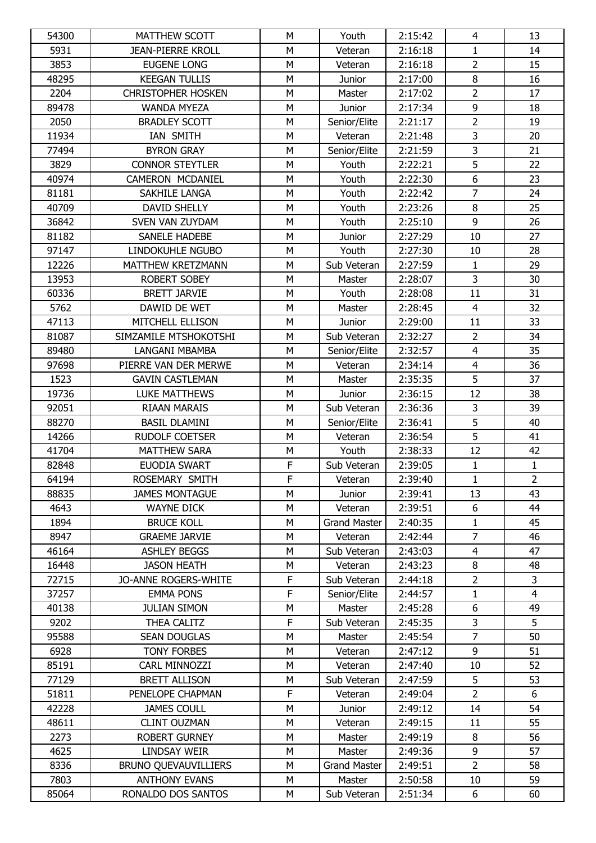| 54300 | <b>MATTHEW SCOTT</b>        | M           | Youth               | 2:15:42 | $\overline{4}$ | 13             |
|-------|-----------------------------|-------------|---------------------|---------|----------------|----------------|
| 5931  | <b>JEAN-PIERRE KROLL</b>    | M           | Veteran             | 2:16:18 | $\mathbf{1}$   | 14             |
| 3853  | <b>EUGENE LONG</b>          | M           | Veteran             | 2:16:18 | $\overline{2}$ | 15             |
| 48295 | <b>KEEGAN TULLIS</b>        | M           | Junior              | 2:17:00 | $\, 8$         | 16             |
| 2204  | <b>CHRISTOPHER HOSKEN</b>   | M           | Master              | 2:17:02 | $\overline{2}$ | 17             |
| 89478 | <b>WANDA MYEZA</b>          | M           | Junior              | 2:17:34 | $\overline{9}$ | 18             |
| 2050  | <b>BRADLEY SCOTT</b>        | M           | Senior/Elite        | 2:21:17 | $\overline{2}$ | 19             |
| 11934 | IAN SMITH                   | M           | Veteran             | 2:21:48 | $\overline{3}$ | 20             |
| 77494 | <b>BYRON GRAY</b>           | M           | Senior/Elite        | 2:21:59 | $\overline{3}$ | 21             |
| 3829  | <b>CONNOR STEYTLER</b>      | M           | Youth               | 2:22:21 | $\overline{5}$ | 22             |
| 40974 | CAMERON MCDANIEL            | M           | Youth               | 2:22:30 | $6\,$          | 23             |
| 81181 | SAKHILE LANGA               | M           | Youth               | 2:22:42 | $\overline{7}$ | 24             |
| 40709 | DAVID SHELLY                | M           | Youth               | 2:23:26 | $\,8\,$        | 25             |
| 36842 | SVEN VAN ZUYDAM             | M           | Youth               | 2:25:10 | 9              | 26             |
| 81182 | SANELE HADEBE               | M           | Junior              | 2:27:29 | 10             | 27             |
| 97147 | <b>LINDOKUHLE NGUBO</b>     | M           | Youth               | 2:27:30 | 10             | 28             |
| 12226 | MATTHEW KRETZMANN           | M           | Sub Veteran         | 2:27:59 | $\mathbf{1}$   | 29             |
| 13953 | <b>ROBERT SOBEY</b>         | M           | Master              | 2:28:07 | $\overline{3}$ | 30             |
| 60336 | <b>BRETT JARVIE</b>         | M           | Youth               | 2:28:08 | 11             | 31             |
| 5762  | DAWID DE WET                | M           | Master              | 2:28:45 | $\overline{4}$ | 32             |
| 47113 | MITCHELL ELLISON            | M           | Junior              | 2:29:00 | 11             | 33             |
| 81087 | SIMZAMILE MTSHOKOTSHI       | M           | Sub Veteran         | 2:32:27 | $\overline{2}$ | 34             |
| 89480 | LANGANI MBAMBA              | M           | Senior/Elite        | 2:32:57 | $\overline{4}$ | 35             |
| 97698 | PIERRE VAN DER MERWE        | M           | Veteran             | 2:34:14 | $\overline{4}$ | 36             |
| 1523  | <b>GAVIN CASTLEMAN</b>      | M           | Master              | 2:35:35 | 5              | 37             |
| 19736 | <b>LUKE MATTHEWS</b>        | M           | Junior              | 2:36:15 | 12             | 38             |
| 92051 | RIAAN MARAIS                | M           | Sub Veteran         | 2:36:36 | 3              | 39             |
| 88270 | <b>BASIL DLAMINI</b>        | M           | Senior/Elite        | 2:36:41 | 5              | 40             |
| 14266 | <b>RUDOLF COETSER</b>       | M           | Veteran             | 2:36:54 | 5              | 41             |
| 41704 | <b>MATTHEW SARA</b>         | M           | Youth               | 2:38:33 | 12             | 42             |
| 82848 | EUODIA SWART                | F           | Sub Veteran         | 2:39:05 | $\mathbf{1}$   | $\mathbf{1}$   |
| 64194 | ROSEMARY SMITH              | $\mathsf F$ | Veteran             | 2:39:40 | $\mathbf{1}$   | $\overline{2}$ |
| 88835 | <b>JAMES MONTAGUE</b>       | М           | Junior              | 2:39:41 | 13             | 43             |
| 4643  | <b>WAYNE DICK</b>           | M           | Veteran             | 2:39:51 | 6              | 44             |
| 1894  | <b>BRUCE KOLL</b>           | M           | <b>Grand Master</b> | 2:40:35 | 1              | 45             |
| 8947  | <b>GRAEME JARVIE</b>        | M           | Veteran             | 2:42:44 | $\overline{7}$ | 46             |
| 46164 | <b>ASHLEY BEGGS</b>         | М           | Sub Veteran         | 2:43:03 | $\overline{4}$ | 47             |
| 16448 | <b>JASON HEATH</b>          | М           | Veteran             | 2:43:23 | 8              | 48             |
| 72715 | <b>JO-ANNE ROGERS-WHITE</b> | F           | Sub Veteran         | 2:44:18 | $\overline{2}$ | 3              |
| 37257 | <b>EMMA PONS</b>            | $\mathsf F$ | Senior/Elite        | 2:44:57 | $\mathbf{1}$   | $\overline{4}$ |
| 40138 | <b>JULIAN SIMON</b>         | М           | Master              | 2:45:28 | 6              | 49             |
| 9202  | THEA CALITZ                 | $\mathsf F$ | Sub Veteran         | 2:45:35 | 3              | 5              |
| 95588 | <b>SEAN DOUGLAS</b>         | М           | Master              | 2:45:54 | $\overline{7}$ | 50             |
| 6928  | <b>TONY FORBES</b>          | M           | Veteran             | 2:47:12 | 9              | 51             |
| 85191 | CARL MINNOZZI               | M           | Veteran             | 2:47:40 | 10             | 52             |
| 77129 | <b>BRETT ALLISON</b>        | М           | Sub Veteran         | 2:47:59 | 5              | 53             |
| 51811 | PENELOPE CHAPMAN            | $\mathsf F$ | Veteran             | 2:49:04 | $\overline{2}$ | 6              |
| 42228 | <b>JAMES COULL</b>          | M           | Junior              | 2:49:12 | 14             | 54             |
| 48611 | <b>CLINT OUZMAN</b>         | M           | Veteran             | 2:49:15 | 11             | 55             |
| 2273  | <b>ROBERT GURNEY</b>        | M           | Master              | 2:49:19 | 8              | 56             |
| 4625  | LINDSAY WEIR                | М           | Master              | 2:49:36 | 9              | 57             |
| 8336  | <b>BRUNO QUEVAUVILLIERS</b> | M           | <b>Grand Master</b> | 2:49:51 | $\overline{2}$ | 58             |
| 7803  | <b>ANTHONY EVANS</b>        | М           | Master              | 2:50:58 | 10             | 59             |
| 85064 | RONALDO DOS SANTOS          | М           | Sub Veteran         | 2:51:34 | 6              | 60             |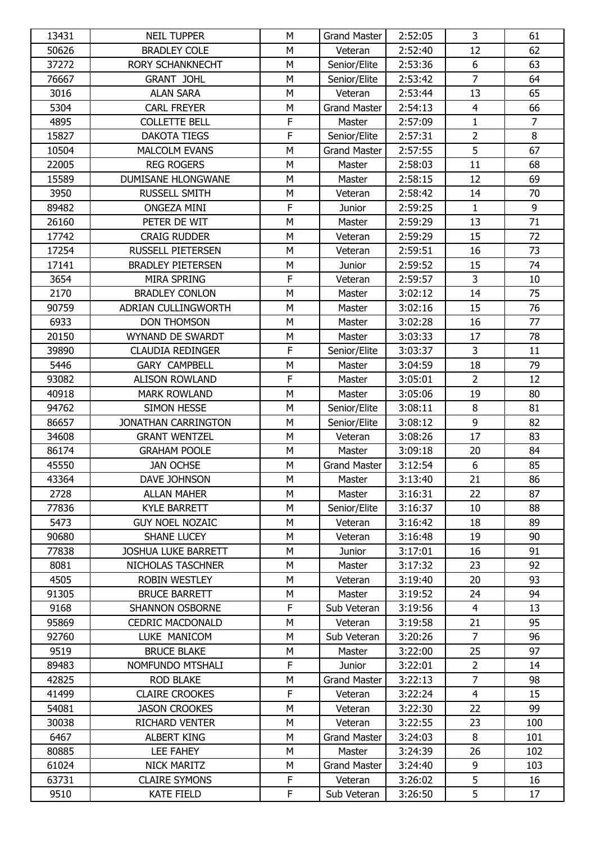| 13431 | <b>NEIL TUPPER</b>         | М | <b>Grand Master</b> | 2:52:05 | 3              | 61             |
|-------|----------------------------|---|---------------------|---------|----------------|----------------|
| 50626 | <b>BRADLEY COLE</b>        | M | Veteran             | 2:52:40 | 12             | 62             |
| 37272 | <b>RORY SCHANKNECHT</b>    | M | Senior/Elite        | 2:53:36 | 6              | 63             |
| 76667 | <b>GRANT JOHL</b>          | M | Senior/Elite        | 2:53:42 | $\overline{7}$ | 64             |
| 3016  | <b>ALAN SARA</b>           | M | Veteran             | 2:53:44 | 13             | 65             |
| 5304  | <b>CARL FREYER</b>         | M | <b>Grand Master</b> | 2:54:13 | $\overline{4}$ | 66             |
| 4895  | <b>COLLETTE BELL</b>       | F | Master              | 2:57:09 | $\mathbf{1}$   | $\overline{7}$ |
| 15827 | <b>DAKOTA TIEGS</b>        | F | Senior/Elite        | 2:57:31 | $\overline{2}$ | 8              |
| 10504 | <b>MALCOLM EVANS</b>       | M | <b>Grand Master</b> | 2:57:55 | 5              | 67             |
| 22005 | <b>REG ROGERS</b>          | M | Master              | 2:58:03 | 11             | 68             |
| 15589 | DUMISANE HLONGWANE         | M | Master              | 2:58:15 | 12             | 69             |
| 3950  | RUSSELL SMITH              | M | Veteran             | 2:58:42 | 14             | 70             |
| 89482 | <b>ONGEZA MINI</b>         | F | Junior              | 2:59:25 | $\mathbf{1}$   | 9              |
| 26160 | PETER DE WIT               | M | Master              | 2:59:29 | 13             | 71             |
| 17742 | <b>CRAIG RUDDER</b>        | M | Veteran             | 2:59:29 | 15             | 72             |
| 17254 | <b>RUSSELL PIETERSEN</b>   | M | Veteran             | 2:59:51 | 16             | 73             |
| 17141 | <b>BRADLEY PIETERSEN</b>   | M | Junior              | 2:59:52 | 15             | 74             |
| 3654  | MIRA SPRING                | F | Veteran             | 2:59:57 | 3              | 10             |
| 2170  | <b>BRADLEY CONLON</b>      | M | Master              | 3:02:12 | 14             | 75             |
| 90759 | ADRIAN CULLINGWORTH        | M | Master              | 3:02:16 | 15             | 76             |
| 6933  | <b>DON THOMSON</b>         | M | Master              | 3:02:28 | 16             | 77             |
| 20150 | WYNAND DE SWARDT           | M | Master              | 3:03:33 | 17             | 78             |
| 39890 | <b>CLAUDIA REDINGER</b>    | F | Senior/Elite        | 3:03:37 | 3              | 11             |
| 5446  | <b>GARY CAMPBELL</b>       | M | Master              | 3:04:59 | 18             | 79             |
| 93082 | <b>ALISON ROWLAND</b>      | F | Master              | 3:05:01 | $\overline{2}$ | 12             |
| 40918 | <b>MARK ROWLAND</b>        | M | Master              | 3:05:06 | 19             | 80             |
| 94762 | SIMON HESSE                | M | Senior/Elite        | 3:08:11 | 8              | 81             |
| 86657 | JONATHAN CARRINGTON        | M | Senior/Elite        | 3:08:12 | 9              | 82             |
| 34608 | <b>GRANT WENTZEL</b>       | M | Veteran             | 3:08:26 | 17             | 83             |
| 86174 | <b>GRAHAM POOLE</b>        | M | Master              | 3:09:18 | 20             | 84             |
| 45550 | <b>JAN OCHSE</b>           | M | <b>Grand Master</b> | 3:12:54 | 6              | 85             |
| 43364 | DAVE JOHNSON               | M | Master              | 3:13:40 | 21             | 86             |
| 2728  | <b>ALLAN MAHER</b>         | М | Master              | 3:16:31 | 22             | 87             |
| 77836 | <b>KYLE BARRETT</b>        | М | Senior/Elite        | 3:16:37 | 10             | 88             |
| 5473  | <b>GUY NOEL NOZAIC</b>     | M | Veteran             | 3:16:42 | 18             | 89             |
| 90680 | <b>SHANE LUCEY</b>         | M | Veteran             | 3:16:48 | 19             | 90             |
| 77838 | <b>JOSHUA LUKE BARRETT</b> | М | Junior              | 3:17:01 | 16             | 91             |
| 8081  | NICHOLAS TASCHNER          | М | Master              | 3:17:32 | 23             | 92             |
| 4505  | <b>ROBIN WESTLEY</b>       | М | Veteran             | 3:19:40 | 20             | 93             |
| 91305 | <b>BRUCE BARRETT</b>       | M | Master              | 3:19:52 | 24             | 94             |
| 9168  | <b>SHANNON OSBORNE</b>     | F | Sub Veteran         | 3:19:56 | 4              | 13             |
| 95869 | <b>CEDRIC MACDONALD</b>    | М | Veteran             | 3:19:58 | 21             | 95             |
| 92760 | LUKE MANICOM               | M | Sub Veteran         | 3:20:26 | $\overline{7}$ | 96             |
| 9519  | <b>BRUCE BLAKE</b>         | M | Master              | 3:22:00 | 25             | 97             |
| 89483 | NOMFUNDO MTSHALI           | F | Junior              | 3:22:01 | $\overline{2}$ | 14             |
| 42825 | <b>ROD BLAKE</b>           | М | <b>Grand Master</b> | 3:22:13 | $\overline{7}$ | 98             |
| 41499 | <b>CLAIRE CROOKES</b>      | F | Veteran             | 3:22:24 | 4              | 15             |
| 54081 | <b>JASON CROOKES</b>       | M | Veteran             | 3:22:30 | 22             | 99             |
| 30038 | <b>RICHARD VENTER</b>      | М | Veteran             | 3:22:55 | 23             | 100            |
| 6467  | <b>ALBERT KING</b>         | M | <b>Grand Master</b> | 3:24:03 | 8              | 101            |
| 80885 | LEE FAHEY                  | М | Master              | 3:24:39 | 26             | 102            |
| 61024 | NICK MARITZ                | M | <b>Grand Master</b> | 3:24:40 | 9              | 103            |
| 63731 | <b>CLAIRE SYMONS</b>       | F | Veteran             | 3:26:02 | 5              | 16             |
| 9510  | <b>KATE FIELD</b>          | F | Sub Veteran         | 3:26:50 | 5              | 17             |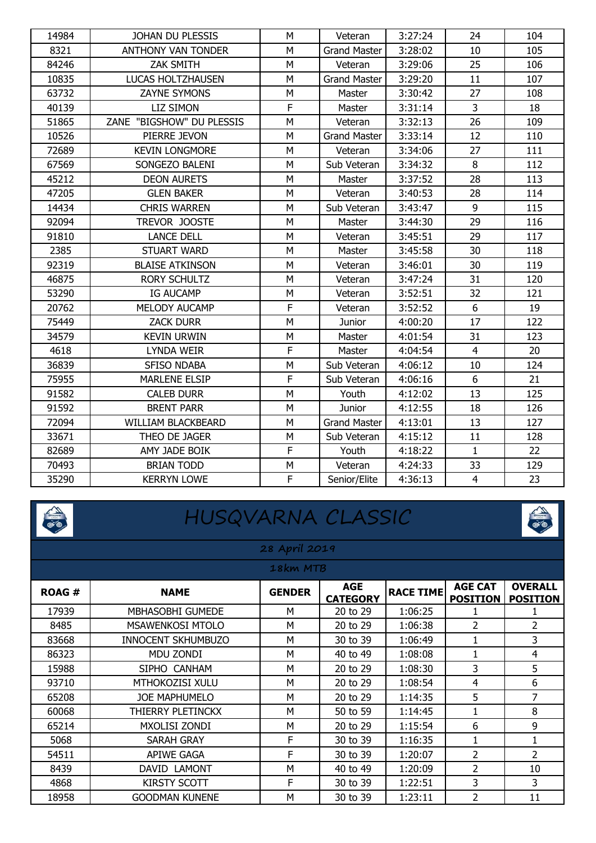| 14984 | JOHAN DU PLESSIS          | M         | Veteran             | 3:27:24 | 24             | 104 |
|-------|---------------------------|-----------|---------------------|---------|----------------|-----|
| 8321  | <b>ANTHONY VAN TONDER</b> | M         | <b>Grand Master</b> | 3:28:02 | 10             | 105 |
| 84246 | ZAK SMITH                 | M         | Veteran             | 3:29:06 | 25             | 106 |
| 10835 | LUCAS HOLTZHAUSEN         | M         | <b>Grand Master</b> | 3:29:20 | 11             | 107 |
| 63732 | <b>ZAYNE SYMONS</b>       | M         | Master              | 3:30:42 | 27             | 108 |
| 40139 | LIZ SIMON                 | F         | Master              | 3:31:14 | 3              | 18  |
| 51865 | ZANE "BIGSHOW" DU PLESSIS | M         | Veteran             | 3:32:13 | 26             | 109 |
| 10526 | PIERRE JEVON              | M         | <b>Grand Master</b> | 3:33:14 | 12             | 110 |
| 72689 | <b>KEVIN LONGMORE</b>     | M         | Veteran             | 3:34:06 | 27             | 111 |
| 67569 | SONGEZO BALENI            | M         | Sub Veteran         | 3:34:32 | 8              | 112 |
| 45212 | <b>DEON AURETS</b>        | M         | Master              | 3:37:52 | 28             | 113 |
| 47205 | <b>GLEN BAKER</b>         | M         | Veteran             | 3:40:53 | 28             | 114 |
| 14434 | <b>CHRIS WARREN</b>       | М         | Sub Veteran         | 3:43:47 | 9              | 115 |
| 92094 | TREVOR JOOSTE             | M         | Master              | 3:44:30 | 29             | 116 |
| 91810 | <b>LANCE DELL</b>         | M         | Veteran             | 3:45:51 | 29             | 117 |
| 2385  | <b>STUART WARD</b>        | м         | Master              | 3:45:58 | 30             | 118 |
| 92319 | <b>BLAISE ATKINSON</b>    | M         | Veteran             | 3:46:01 | 30             | 119 |
| 46875 | <b>RORY SCHULTZ</b>       | M         | Veteran             | 3:47:24 | 31             | 120 |
| 53290 | IG AUCAMP                 | M         | Veteran             | 3:52:51 | 32             | 121 |
| 20762 | <b>MELODY AUCAMP</b>      | F         | Veteran             | 3:52:52 | 6              | 19  |
| 75449 | <b>ZACK DURR</b>          | M         | Junior              | 4:00:20 | 17             | 122 |
| 34579 | <b>KEVIN URWIN</b>        | M         | Master              | 4:01:54 | 31             | 123 |
| 4618  | <b>LYNDA WEIR</b>         | F         | Master              | 4:04:54 | $\overline{4}$ | 20  |
| 36839 | <b>SFISO NDABA</b>        | M         | Sub Veteran         | 4:06:12 | 10             | 124 |
| 75955 | <b>MARLENE ELSIP</b>      | F         | Sub Veteran         | 4:06:16 | 6              | 21  |
| 91582 | <b>CALEB DURR</b>         | M         | Youth               | 4:12:02 | 13             | 125 |
| 91592 | <b>BRENT PARR</b>         | M         | Junior              | 4:12:55 | 18             | 126 |
| 72094 | WILLIAM BLACKBEARD        | M         | <b>Grand Master</b> | 4:13:01 | 13             | 127 |
| 33671 | THEO DE JAGER             | M         | Sub Veteran         | 4:15:12 | 11             | 128 |
| 82689 | AMY JADE BOIK             | F         | Youth               | 4:18:22 | $\mathbf{1}$   | 22  |
| 70493 | <b>BRIAN TODD</b>         | ${\sf M}$ | Veteran             | 4:24:33 | 33             | 129 |
| 35290 | <b>KERRYN LOWE</b>        | F         | Senior/Elite        | 4:36:13 | $\overline{4}$ | 23  |



## HUSQVARNA CLASSIC



#### **28 April 2019**

|              | 18km MTB                |               |                               |                  |                                   |                                   |  |  |  |
|--------------|-------------------------|---------------|-------------------------------|------------------|-----------------------------------|-----------------------------------|--|--|--|
| <b>ROAG#</b> | <b>NAME</b>             | <b>GENDER</b> | <b>AGE</b><br><b>CATEGORY</b> | <b>RACE TIME</b> | <b>AGE CAT</b><br><b>POSITION</b> | <b>OVERALL</b><br><b>POSITION</b> |  |  |  |
| 17939        | <b>MBHASOBHI GUMEDE</b> | М             | 20 to 29                      | 1:06:25          |                                   |                                   |  |  |  |
| 8485         | <b>MSAWENKOSI MTOLO</b> | м             | 20 to 29                      | 1:06:38          | $\overline{\phantom{a}}$          | $\overline{2}$                    |  |  |  |
| 83668        | INNOCENT SKHUMBUZO      | м             | 30 to 39                      | 1:06:49          | 1                                 | 3                                 |  |  |  |
| 86323        | MDU ZONDI               | м             | 40 to 49                      | 1:08:08          |                                   | 4                                 |  |  |  |
| 15988        | SIPHO CANHAM            | М             | 20 to 29                      | 1:08:30          | 3                                 | 5                                 |  |  |  |
| 93710        | <b>MTHOKOZISI XULU</b>  | М             | 20 to 29                      | 1:08:54          | 4                                 | 6                                 |  |  |  |
| 65208        | JOE MAPHUMELO           | M             | 20 to 29                      | 1:14:35          | 5                                 |                                   |  |  |  |
| 60068        | THIERRY PLETINCKX       | М             | 50 to 59                      | 1:14:45          | 1                                 | 8                                 |  |  |  |
| 65214        | MXOLISI ZONDI           | м             | 20 to 29                      | 1:15:54          | 6                                 | 9                                 |  |  |  |
| 5068         | SARAH GRAY              | F             | 30 to 39                      | 1:16:35          | 1                                 |                                   |  |  |  |
| 54511        | APIWE GAGA              | F             | 30 to 39                      | 1:20:07          | $\overline{\phantom{a}}$          | $\overline{2}$                    |  |  |  |
| 8439         | DAVID LAMONT            | м             | 40 to 49                      | 1:20:09          | 2                                 | 10                                |  |  |  |
| 4868         | KIRSTY SCOTT            | F             | 30 to 39                      | 1:22:51          | 3                                 | 3                                 |  |  |  |
| 18958        | <b>GOODMAN KUNENE</b>   | М             | 30 to 39                      | 1:23:11          | $\overline{\phantom{a}}$          | 11                                |  |  |  |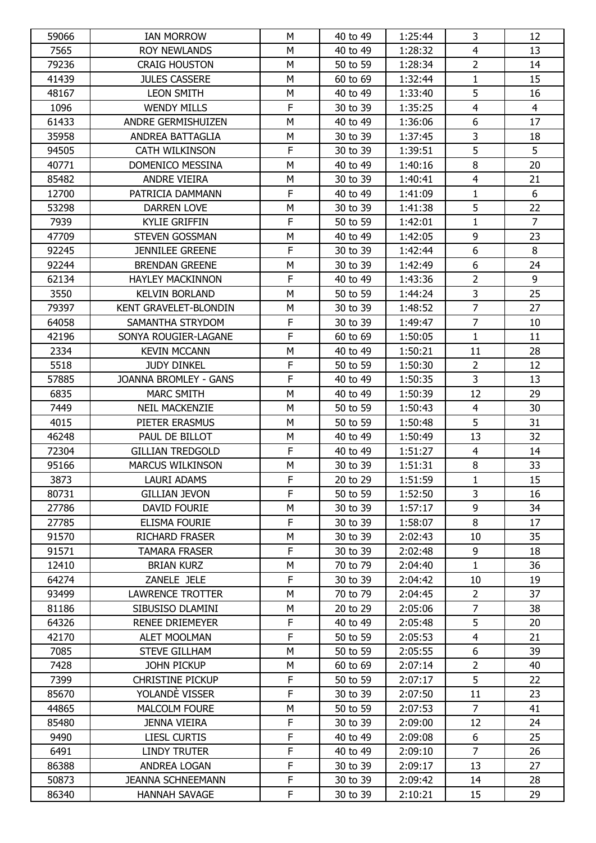| 59066          | <b>IAN MORROW</b>                           | M                | 40 to 49             | 1:25:44            | 3              | 12             |
|----------------|---------------------------------------------|------------------|----------------------|--------------------|----------------|----------------|
| 7565           | <b>ROY NEWLANDS</b>                         | M                | 40 to 49             | 1:28:32            | $\overline{4}$ | 13             |
| 79236          | <b>CRAIG HOUSTON</b>                        | M                | 50 to 59             | 1:28:34            | $\overline{2}$ | 14             |
| 41439          | <b>JULES CASSERE</b>                        | M                | 60 to 69             | 1:32:44            | $\mathbf{1}$   | 15             |
| 48167          | <b>LEON SMITH</b>                           | M                | 40 to 49             | 1:33:40            | 5              | 16             |
| 1096           | <b>WENDY MILLS</b>                          | F                | 30 to 39             | 1:35:25            | $\overline{4}$ | $\overline{4}$ |
| 61433          | ANDRE GERMISHUIZEN                          | M                | 40 to 49             | 1:36:06            | 6              | 17             |
| 35958          | ANDREA BATTAGLIA                            | M                | 30 to 39             | 1:37:45            | 3              | 18             |
| 94505          | CATH WILKINSON                              | F                | 30 to 39             | 1:39:51            | 5              | 5              |
| 40771          | DOMENICO MESSINA                            | M                | 40 to 49             | 1:40:16            | 8              | 20             |
| 85482          | ANDRE VIEIRA                                | M                | 30 to 39             | 1:40:41            | $\overline{4}$ | 21             |
| 12700          | PATRICIA DAMMANN                            | F                | 40 to 49             | 1:41:09            | $\mathbf{1}$   | 6              |
| 53298          | <b>DARREN LOVE</b>                          | М                | 30 to 39             | 1:41:38            | 5              | 22             |
| 7939           | <b>KYLIE GRIFFIN</b>                        | $\mathsf F$      | 50 to 59             | 1:42:01            | $\mathbf{1}$   | $\overline{7}$ |
| 47709          | STEVEN GOSSMAN                              | M                | 40 to 49             | 1:42:05            | 9              | 23             |
| 92245          | <b>JENNILEE GREENE</b>                      | $\mathsf F$      | 30 to 39             | 1:42:44            | 6              | 8              |
| 92244          | <b>BRENDAN GREENE</b>                       | М                | 30 to 39             | 1:42:49            | 6              | 24             |
| 62134          | <b>HAYLEY MACKINNON</b>                     | F                | 40 to 49             | 1:43:36            | $\overline{2}$ | 9              |
| 3550           | <b>KELVIN BORLAND</b>                       | M                | 50 to 59             | 1:44:24            | $\overline{3}$ | 25             |
| 79397          | KENT GRAVELET-BLONDIN                       | M                | 30 to 39             | 1:48:52            | $\overline{7}$ | 27             |
| 64058          | SAMANTHA STRYDOM                            | $\mathsf F$      | 30 to 39             | 1:49:47            | $\overline{7}$ | 10             |
| 42196          | SONYA ROUGIER-LAGANE                        | F                | 60 to 69             | 1:50:05            | $\mathbf{1}$   | 11             |
| 2334           | <b>KEVIN MCCANN</b>                         | M                | 40 to 49             | 1:50:21            | 11             | 28             |
| 5518           | <b>JUDY DINKEL</b>                          | $\mathsf F$      | 50 to 59             | 1:50:30            | $\overline{2}$ | 12             |
| 57885          | JOANNA BROMLEY - GANS                       | $\mathsf F$      | 40 to 49             | 1:50:35            | 3              | 13             |
| 6835           | MARC SMITH                                  | M                | 40 to 49             | 1:50:39            | 12             | 29             |
| 7449           | <b>NEIL MACKENZIE</b>                       | М                | 50 to 59             | 1:50:43            | $\overline{4}$ | 30             |
| 4015           | PIETER ERASMUS                              | M                | 50 to 59             | 1:50:48            | 5              | 31             |
| 46248          | PAUL DE BILLOT                              | M                | 40 to 49             | 1:50:49            | 13             | 32             |
| 72304          | <b>GILLIAN TREDGOLD</b>                     | F                | 40 to 49             | 1:51:27            | $\overline{4}$ | 14             |
| 95166          | <b>MARCUS WILKINSON</b>                     | М                | 30 to 39             | 1:51:31            | 8              | 33             |
| 3873           | <b>LAURI ADAMS</b>                          | F                | 20 to 29             | 1:51:59            | $\mathbf{1}$   | 15             |
| 80731          | <b>GILLIAN JEVON</b>                        | F                | 50 to 59             | 1:52:50            | 3              | 16             |
| 27786          | DAVID FOURIE                                | М                | 30 to 39             | 1:57:17            | 9              | 34             |
| 27785          | <b>ELISMA FOURIE</b>                        | F                | 30 to 39             | 1:58:07            | 8              | 17             |
| 91570          | <b>RICHARD FRASER</b>                       | M                | 30 to 39             | 2:02:43            | 10             | 35             |
| 91571          | <b>TAMARA FRASER</b>                        | F                | 30 to 39             | 2:02:48            | 9              | 18             |
| 12410          | <b>BRIAN KURZ</b>                           | М                | 70 to 79             | 2:04:40            | $\mathbf{1}$   | 36             |
| 64274          | ZANELE JELE                                 | F                | 30 to 39             | 2:04:42            | 10             | 19             |
| 93499          | <b>LAWRENCE TROTTER</b>                     | M                | 70 to 79             | 2:04:45            | $\overline{2}$ | 37             |
| 81186          | SIBUSISO DLAMINI                            | М                | 20 to 29             | 2:05:06            | $\overline{7}$ | 38             |
| 64326          | RENEE DRIEMEYER                             | F                | 40 to 49             | 2:05:48            | 5              | 20             |
| 42170          | ALET MOOLMAN                                | F                | 50 to 59             | 2:05:53            | $\overline{4}$ | 21             |
| 7085           | <b>STEVE GILLHAM</b>                        | M                | 50 to 59             | 2:05:55            | 6              | 39             |
| 7428           | JOHN PICKUP                                 | М                | 60 to 69             | 2:07:14            | $\overline{2}$ | 40             |
| 7399           | <b>CHRISTINE PICKUP</b>                     | F                | 50 to 59             | 2:07:17            | 5              | 22             |
| 85670          | YOLANDE VISSER                              | F                | 30 to 39             | 2:07:50            | 11             | 23             |
| 44865<br>85480 | <b>MALCOLM FOURE</b><br><b>JENNA VIEIRA</b> | М<br>$\mathsf F$ | 50 to 59             | 2:07:53<br>2:09:00 | 7<br>12        | 41<br>24       |
| 9490           | <b>LIESL CURTIS</b>                         | F                | 30 to 39<br>40 to 49 | 2:09:08            | 6              | 25             |
| 6491           | <b>LINDY TRUTER</b>                         | F                | 40 to 49             | 2:09:10            | $\overline{7}$ | 26             |
| 86388          | ANDREA LOGAN                                | F                | 30 to 39             | 2:09:17            | 13             | 27             |
| 50873          | <b>JEANNA SCHNEEMANN</b>                    | $\mathsf F$      | 30 to 39             | 2:09:42            | 14             | 28             |
| 86340          | <b>HANNAH SAVAGE</b>                        | F                | 30 to 39             | 2:10:21            | 15             | 29             |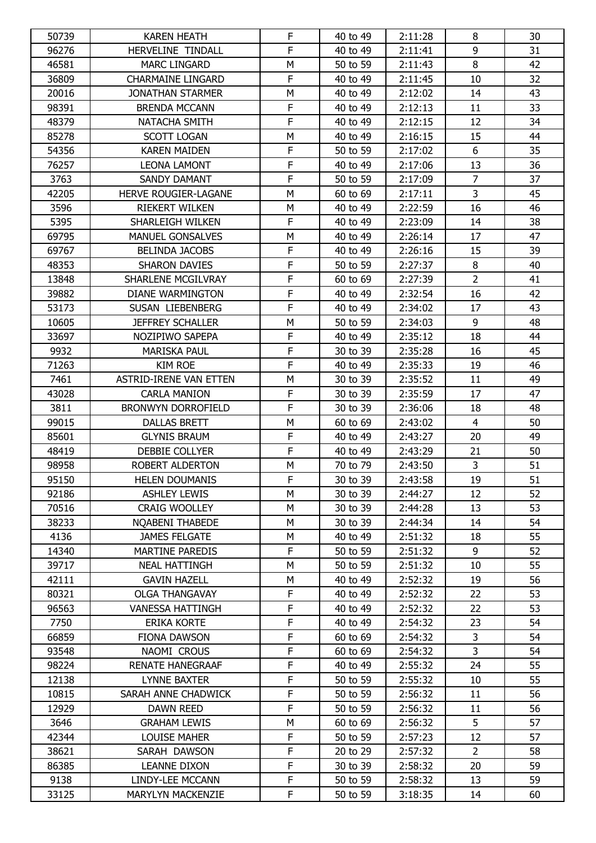| 50739 | <b>KAREN HEATH</b>        | F           | 40 to 49 | 2:11:28 | 8              | 30 |
|-------|---------------------------|-------------|----------|---------|----------------|----|
| 96276 | HERVELINE TINDALL         | F           | 40 to 49 | 2:11:41 | 9              | 31 |
| 46581 | <b>MARC LINGARD</b>       | M           | 50 to 59 | 2:11:43 | 8              | 42 |
| 36809 | <b>CHARMAINE LINGARD</b>  | $\mathsf F$ | 40 to 49 | 2:11:45 | 10             | 32 |
| 20016 | <b>JONATHAN STARMER</b>   | M           | 40 to 49 | 2:12:02 | 14             | 43 |
| 98391 | <b>BRENDA MCCANN</b>      | $\mathsf F$ | 40 to 49 | 2:12:13 | 11             | 33 |
| 48379 | NATACHA SMITH             | F           | 40 to 49 | 2:12:15 | 12             | 34 |
| 85278 | <b>SCOTT LOGAN</b>        | M           | 40 to 49 | 2:16:15 | 15             | 44 |
| 54356 | <b>KAREN MAIDEN</b>       | $\mathsf F$ | 50 to 59 | 2:17:02 | 6              | 35 |
| 76257 | LEONA LAMONT              | F           | 40 to 49 | 2:17:06 | 13             | 36 |
| 3763  | <b>SANDY DAMANT</b>       | F           | 50 to 59 | 2:17:09 | $\overline{7}$ | 37 |
| 42205 | HERVE ROUGIER-LAGANE      | M           | 60 to 69 | 2:17:11 | $\overline{3}$ | 45 |
| 3596  | <b>RIEKERT WILKEN</b>     | М           | 40 to 49 | 2:22:59 | 16             | 46 |
| 5395  | SHARLEIGH WILKEN          | F           | 40 to 49 | 2:23:09 | 14             | 38 |
| 69795 | <b>MANUEL GONSALVES</b>   | M           | 40 to 49 | 2:26:14 | 17             | 47 |
| 69767 | <b>BELINDA JACOBS</b>     | F           | 40 to 49 | 2:26:16 | 15             | 39 |
| 48353 | <b>SHARON DAVIES</b>      | F           | 50 to 59 | 2:27:37 | 8              | 40 |
| 13848 | SHARLENE MCGILVRAY        | F           | 60 to 69 | 2:27:39 | $\overline{2}$ | 41 |
| 39882 | DIANE WARMINGTON          | F           | 40 to 49 | 2:32:54 | 16             | 42 |
| 53173 | SUSAN LIEBENBERG          | F           | 40 to 49 | 2:34:02 | 17             | 43 |
| 10605 | <b>JEFFREY SCHALLER</b>   | M           | 50 to 59 | 2:34:03 | 9              | 48 |
| 33697 | NOZIPIWO SAPEPA           | F           | 40 to 49 | 2:35:12 | 18             | 44 |
| 9932  | <b>MARISKA PAUL</b>       | F           | 30 to 39 | 2:35:28 | 16             | 45 |
| 71263 | <b>KIM ROE</b>            | F           | 40 to 49 | 2:35:33 | 19             | 46 |
| 7461  | ASTRID-IRENE VAN ETTEN    | M           | 30 to 39 | 2:35:52 | 11             | 49 |
| 43028 | <b>CARLA MANION</b>       | $\mathsf F$ | 30 to 39 | 2:35:59 | 17             | 47 |
| 3811  | <b>BRONWYN DORROFIELD</b> | F           | 30 to 39 | 2:36:06 | 18             | 48 |
| 99015 | <b>DALLAS BRETT</b>       | M           | 60 to 69 | 2:43:02 | $\overline{4}$ | 50 |
| 85601 | <b>GLYNIS BRAUM</b>       | $\mathsf F$ | 40 to 49 | 2:43:27 | 20             | 49 |
| 48419 | DEBBIE COLLYER            | $\mathsf F$ | 40 to 49 | 2:43:29 | 21             | 50 |
| 98958 | ROBERT ALDERTON           | M           | 70 to 79 | 2:43:50 | 3              | 51 |
| 95150 | <b>HELEN DOUMANIS</b>     | F           | 30 to 39 | 2:43:58 | 19             | 51 |
| 92186 | <b>ASHLEY LEWIS</b>       | M           | 30 to 39 | 2:44:27 | 12             | 52 |
| 70516 | <b>CRAIG WOOLLEY</b>      | M           | 30 to 39 | 2:44:28 | 13             | 53 |
| 38233 | NOABENI THABEDE           | М           | 30 to 39 | 2:44:34 | 14             | 54 |
| 4136  | <b>JAMES FELGATE</b>      | М           | 40 to 49 | 2:51:32 | 18             | 55 |
| 14340 | <b>MARTINE PAREDIS</b>    | F           | 50 to 59 | 2:51:32 | 9              | 52 |
| 39717 | <b>NEAL HATTINGH</b>      | М           | 50 to 59 | 2:51:32 | 10             | 55 |
| 42111 | <b>GAVIN HAZELL</b>       | М           | 40 to 49 | 2:52:32 | 19             | 56 |
| 80321 | <b>OLGA THANGAVAY</b>     | F           | 40 to 49 | 2:52:32 | 22             | 53 |
| 96563 | <b>VANESSA HATTINGH</b>   | F           | 40 to 49 | 2:52:32 | 22             | 53 |
| 7750  | <b>ERIKA KORTE</b>        | F           | 40 to 49 | 2:54:32 | 23             | 54 |
| 66859 | <b>FIONA DAWSON</b>       | F           | 60 to 69 | 2:54:32 | 3              | 54 |
| 93548 | NAOMI CROUS               | F           | 60 to 69 | 2:54:32 | $\overline{3}$ | 54 |
| 98224 | <b>RENATE HANEGRAAF</b>   | F           | 40 to 49 | 2:55:32 | 24             | 55 |
| 12138 | <b>LYNNE BAXTER</b>       | F           | 50 to 59 | 2:55:32 | 10             | 55 |
| 10815 | SARAH ANNE CHADWICK       | F           | 50 to 59 | 2:56:32 | 11             | 56 |
| 12929 | <b>DAWN REED</b>          | F           | 50 to 59 | 2:56:32 | 11             | 56 |
| 3646  | <b>GRAHAM LEWIS</b>       | M           | 60 to 69 | 2:56:32 | 5              | 57 |
| 42344 | <b>LOUISE MAHER</b>       | F           | 50 to 59 | 2:57:23 | 12             | 57 |
| 38621 | SARAH DAWSON              | F           | 20 to 29 | 2:57:32 | $\overline{2}$ | 58 |
| 86385 | LEANNE DIXON              | F           | 30 to 39 | 2:58:32 | 20             | 59 |
| 9138  | LINDY-LEE MCCANN          | $\mathsf F$ | 50 to 59 | 2:58:32 | 13             | 59 |
| 33125 | MARYLYN MACKENZIE         | F           | 50 to 59 | 3:18:35 | 14             | 60 |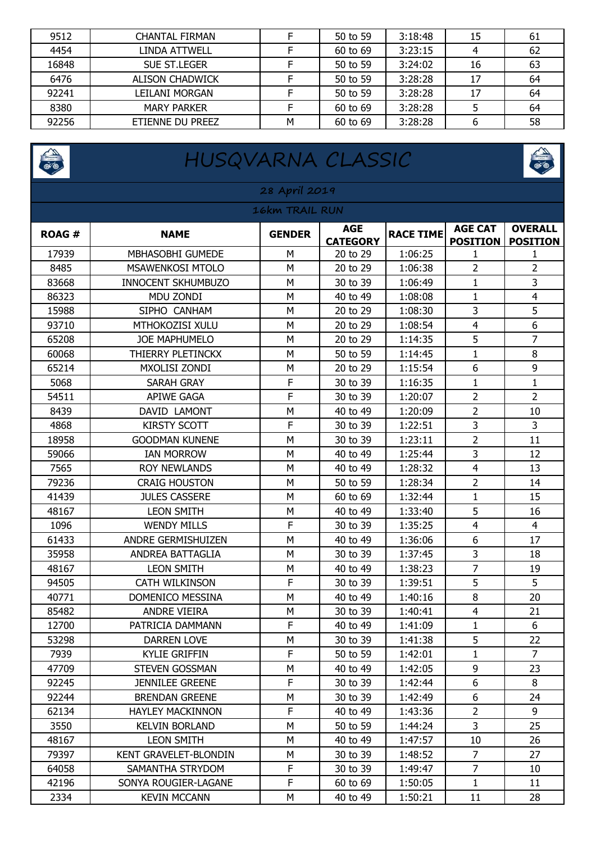| 9512  | <b>CHANTAL FIRMAN</b>  |   | 50 to 59 | 3:18:48 | 15 | 61 |
|-------|------------------------|---|----------|---------|----|----|
| 4454  | I INDA ATTWFI L        |   | 60 to 69 | 3:23:15 |    | 62 |
| 16848 | <b>SUE ST.LEGER</b>    |   | 50 to 59 | 3:24:02 | 16 | 63 |
| 6476  | <b>ALISON CHADWICK</b> |   | 50 to 59 | 3:28:28 | 17 | 64 |
| 92241 | LEILANI MORGAN         |   | 50 to 59 | 3:28:28 | 17 | 64 |
| 8380  | <b>MARY PARKER</b>     |   | 60 to 69 | 3:28:28 |    | 64 |
| 92256 | ETIENNE DU PREEZ       | Μ | 60 to 69 | 3:28:28 |    | 58 |

|                | HUSQVARNA CLASSIC            |               |                               |                  |                                   |                                   |  |  |
|----------------|------------------------------|---------------|-------------------------------|------------------|-----------------------------------|-----------------------------------|--|--|
| 28 April 2019  |                              |               |                               |                  |                                   |                                   |  |  |
| 16km TRAIL RUN |                              |               |                               |                  |                                   |                                   |  |  |
| <b>ROAG#</b>   | <b>NAME</b>                  | <b>GENDER</b> | <b>AGE</b><br><b>CATEGORY</b> | <b>RACE TIME</b> | <b>AGE CAT</b><br><b>POSITION</b> | <b>OVERALL</b><br><b>POSITION</b> |  |  |
| 17939          | <b>MBHASOBHI GUMEDE</b>      | M             | 20 to 29                      | 1:06:25          | 1                                 | 1                                 |  |  |
| 8485           | <b>MSAWENKOSI MTOLO</b>      | M             | 20 to 29                      | 1:06:38          | $\overline{2}$                    | 2                                 |  |  |
| 83668          | <b>INNOCENT SKHUMBUZO</b>    | M             | 30 to 39                      | 1:06:49          | 1                                 | 3                                 |  |  |
| 86323          | MDU ZONDI                    | M             | 40 to 49                      | 1:08:08          | $\mathbf{1}$                      | 4                                 |  |  |
| 15988          | SIPHO CANHAM                 | M             | 20 to 29                      | 1:08:30          | 3                                 | 5                                 |  |  |
| 93710          | MTHOKOZISI XULU              | M             | 20 to 29                      | 1:08:54          | 4                                 | 6                                 |  |  |
| 65208          | <b>JOE MAPHUMELO</b>         | M             | 20 to 29                      | 1:14:35          | 5                                 | 7                                 |  |  |
| 60068          | THIERRY PLETINCKX            | M             | 50 to 59                      | 1:14:45          | $\mathbf{1}$                      | 8                                 |  |  |
| 65214          | MXOLISI ZONDI                | M             | 20 to 29                      | 1:15:54          | 6                                 | $\boldsymbol{9}$                  |  |  |
| 5068           | <b>SARAH GRAY</b>            | F             | 30 to 39                      | 1:16:35          | $\mathbf 1$                       | $\mathbf 1$                       |  |  |
| 54511          | <b>APIWE GAGA</b>            | F             | 30 to 39                      | 1:20:07          | $\overline{2}$                    | $\overline{2}$                    |  |  |
| 8439           | DAVID LAMONT                 | M             | 40 to 49                      | 1:20:09          | $\overline{2}$                    | 10                                |  |  |
| 4868           | <b>KIRSTY SCOTT</b>          | F             | 30 to 39                      | 1:22:51          | $\overline{3}$                    | 3                                 |  |  |
| 18958          | <b>GOODMAN KUNENE</b>        | M             | 30 to 39                      | 1:23:11          | $\overline{2}$                    | 11                                |  |  |
| 59066          | <b>IAN MORROW</b>            | M             | 40 to 49                      | 1:25:44          | 3                                 | 12                                |  |  |
| 7565           | <b>ROY NEWLANDS</b>          | М             | 40 to 49                      | 1:28:32          | $\overline{4}$                    | 13                                |  |  |
| 79236          | <b>CRAIG HOUSTON</b>         | M             | 50 to 59                      | 1:28:34          | $\overline{2}$                    | 14                                |  |  |
| 41439          | <b>JULES CASSERE</b>         | M             | 60 to 69                      | 1:32:44          | $\mathbf{1}$                      | 15                                |  |  |
| 48167          | <b>LEON SMITH</b>            | M             | 40 to 49                      | 1:33:40          | 5                                 | 16                                |  |  |
| 1096           | <b>WENDY MILLS</b>           | F             | 30 to 39                      | 1:35:25          | 4                                 | $\overline{4}$                    |  |  |
| 61433          | ANDRE GERMISHUIZEN           | M             | 40 to 49                      | 1:36:06          | 6                                 | 17                                |  |  |
| 35958          | ANDREA BATTAGLIA             | M             | 30 to 39                      | 1:37:45          | 3                                 | 18                                |  |  |
| 48167          | <b>LEON SMITH</b>            | M             | 40 to 49                      | 1:38:23          | $\overline{7}$                    | 19                                |  |  |
| 94505          | <b>CATH WILKINSON</b>        | F             | 30 to 39                      | 1:39:51          | 5                                 | 5                                 |  |  |
| 40771          | DOMENICO MESSINA             | м             | 40 to 49                      | 1:40:16          | 8                                 | 20                                |  |  |
| 85482          | ANDRE VIEIRA                 | M             | 30 to 39                      | 1:40:41          | $\overline{\mathbf{4}}$           | 21                                |  |  |
| 12700          | PATRICIA DAMMANN             | F             | 40 to 49                      | 1:41:09          | $\mathbf{1}$                      | 6                                 |  |  |
| 53298          | DARREN LOVE                  | М             | 30 to 39                      | 1:41:38          | 5                                 | 22                                |  |  |
| 7939           | <b>KYLIE GRIFFIN</b>         | F             | 50 to 59                      | 1:42:01          | 1                                 | $\overline{7}$                    |  |  |
| 47709          | STEVEN GOSSMAN               | M             | 40 to 49                      | 1:42:05          | 9                                 | 23                                |  |  |
| 92245          | <b>JENNILEE GREENE</b>       | F             | 30 to 39                      | 1:42:44          | 6                                 | 8                                 |  |  |
| 92244          | <b>BRENDAN GREENE</b>        | М             | 30 to 39                      | 1:42:49          | 6                                 | 24                                |  |  |
| 62134          | <b>HAYLEY MACKINNON</b>      | F             | 40 to 49                      | 1:43:36          | $\overline{2}$                    | 9                                 |  |  |
| 3550           | <b>KELVIN BORLAND</b>        | М             | 50 to 59                      | 1:44:24          | $\overline{3}$                    | 25                                |  |  |
| 48167          | <b>LEON SMITH</b>            | М             | 40 to 49                      | 1:47:57          | 10                                | 26                                |  |  |
| 79397          | <b>KENT GRAVELET-BLONDIN</b> | M             | 30 to 39                      | 1:48:52          | $\overline{7}$                    | 27                                |  |  |
| 64058          | SAMANTHA STRYDOM             | F             | 30 to 39                      | 1:49:47          | $\overline{7}$                    | 10                                |  |  |
| 42196          | SONYA ROUGIER-LAGANE         | F             | 60 to 69                      | 1:50:05          | $\mathbf{1}$                      | 11                                |  |  |
| 2334           | <b>KEVIN MCCANN</b>          | М             | 40 to 49                      | 1:50:21          | 11                                | 28                                |  |  |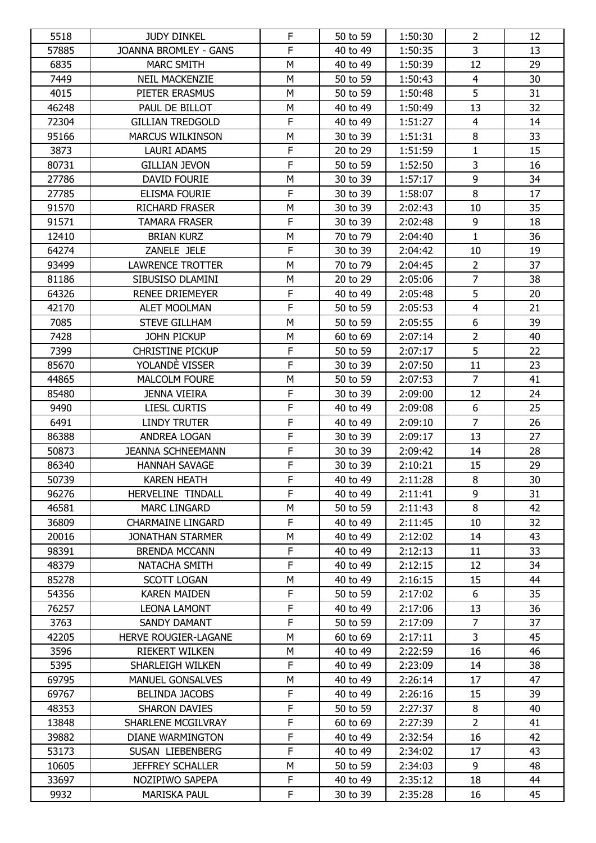| 5518  | <b>JUDY DINKEL</b>           | F              | 50 to 59 | 1:50:30 | 2              | 12 |
|-------|------------------------------|----------------|----------|---------|----------------|----|
| 57885 | <b>JOANNA BROMLEY - GANS</b> | F              | 40 to 49 | 1:50:35 | 3              | 13 |
| 6835  | <b>MARC SMITH</b>            | M              | 40 to 49 | 1:50:39 | 12             | 29 |
| 7449  | <b>NEIL MACKENZIE</b>        | M              | 50 to 59 | 1:50:43 | $\overline{4}$ | 30 |
| 4015  | PIETER ERASMUS               | M              | 50 to 59 | 1:50:48 | 5              | 31 |
| 46248 | PAUL DE BILLOT               | М              | 40 to 49 | 1:50:49 | 13             | 32 |
| 72304 | <b>GILLIAN TREDGOLD</b>      | F              | 40 to 49 | 1:51:27 | $\overline{4}$ | 14 |
| 95166 | <b>MARCUS WILKINSON</b>      | M              | 30 to 39 | 1:51:31 | 8              | 33 |
| 3873  | <b>LAURI ADAMS</b>           | $\mathsf F$    | 20 to 29 | 1:51:59 | $\mathbf{1}$   | 15 |
| 80731 | <b>GILLIAN JEVON</b>         | F              | 50 to 59 | 1:52:50 | $\overline{3}$ | 16 |
| 27786 | DAVID FOURIE                 | M              | 30 to 39 | 1:57:17 | $\overline{9}$ | 34 |
| 27785 | <b>ELISMA FOURIE</b>         | $\mathsf F$    | 30 to 39 | 1:58:07 | $\,8\,$        | 17 |
| 91570 | <b>RICHARD FRASER</b>        | M              | 30 to 39 | 2:02:43 | 10             | 35 |
| 91571 | <b>TAMARA FRASER</b>         | F              | 30 to 39 | 2:02:48 | 9              | 18 |
| 12410 | <b>BRIAN KURZ</b>            | M              | 70 to 79 | 2:04:40 | $\mathbf{1}$   | 36 |
| 64274 | ZANELE JELE                  | F              | 30 to 39 | 2:04:42 | 10             | 19 |
| 93499 | <b>LAWRENCE TROTTER</b>      | M              | 70 to 79 | 2:04:45 | $\overline{2}$ | 37 |
| 81186 | SIBUSISO DLAMINI             | М              | 20 to 29 | 2:05:06 | $\overline{7}$ | 38 |
| 64326 | <b>RENEE DRIEMEYER</b>       | $\mathsf F$    | 40 to 49 | 2:05:48 | 5              | 20 |
| 42170 | <b>ALET MOOLMAN</b>          | F              | 50 to 59 | 2:05:53 | $\overline{4}$ | 21 |
| 7085  | <b>STEVE GILLHAM</b>         | M              | 50 to 59 | 2:05:55 | 6              | 39 |
| 7428  | JOHN PICKUP                  | М              | 60 to 69 | 2:07:14 | $\overline{2}$ | 40 |
| 7399  | <b>CHRISTINE PICKUP</b>      | F              | 50 to 59 | 2:07:17 | 5              | 22 |
| 85670 | YOLANDÈ VISSER               | F              | 30 to 39 | 2:07:50 | 11             | 23 |
| 44865 | <b>MALCOLM FOURE</b>         | M              | 50 to 59 | 2:07:53 | $\overline{7}$ | 41 |
| 85480 | JENNA VIEIRA                 | $\mathsf F$    | 30 to 39 | 2:09:00 | 12             | 24 |
| 9490  | <b>LIESL CURTIS</b>          | F              | 40 to 49 | 2:09:08 | 6              | 25 |
| 6491  | <b>LINDY TRUTER</b>          | F              | 40 to 49 | 2:09:10 | $\overline{7}$ | 26 |
| 86388 | ANDREA LOGAN                 | F              | 30 to 39 | 2:09:17 | 13             | 27 |
| 50873 | <b>JEANNA SCHNEEMANN</b>     | $\mathsf F$    | 30 to 39 | 2:09:42 | 14             | 28 |
| 86340 | <b>HANNAH SAVAGE</b>         | F              | 30 to 39 | 2:10:21 | 15             | 29 |
| 50739 | <b>KAREN HEATH</b>           | $\overline{F}$ | 40 to 49 | 2:11:28 | 8              | 30 |
| 96276 | HERVELINE TINDALL            | F              | 40 to 49 | 2:11:41 | 9              | 31 |
| 46581 | <b>MARC LINGARD</b>          | М              | 50 to 59 | 2:11:43 | 8              | 42 |
| 36809 | <b>CHARMAINE LINGARD</b>     | F              | 40 to 49 | 2:11:45 | 10             | 32 |
| 20016 | <b>JONATHAN STARMER</b>      | М              | 40 to 49 | 2:12:02 | 14             | 43 |
| 98391 | <b>BRENDA MCCANN</b>         | F              | 40 to 49 | 2:12:13 | 11             | 33 |
| 48379 | NATACHA SMITH                | F              | 40 to 49 | 2:12:15 | 12             | 34 |
| 85278 | <b>SCOTT LOGAN</b>           | М              | 40 to 49 | 2:16:15 | 15             | 44 |
| 54356 | <b>KAREN MAIDEN</b>          | F              | 50 to 59 | 2:17:02 | 6              | 35 |
| 76257 | <b>LEONA LAMONT</b>          | F              | 40 to 49 | 2:17:06 | 13             | 36 |
| 3763  | SANDY DAMANT                 | F              | 50 to 59 | 2:17:09 | $\overline{7}$ | 37 |
| 42205 | HERVE ROUGIER-LAGANE         | М              | 60 to 69 | 2:17:11 | 3              | 45 |
| 3596  | <b>RIEKERT WILKEN</b>        | М              | 40 to 49 | 2:22:59 | 16             | 46 |
| 5395  | SHARLEIGH WILKEN             | F              | 40 to 49 | 2:23:09 | 14             | 38 |
| 69795 | <b>MANUEL GONSALVES</b>      | М              | 40 to 49 | 2:26:14 | 17             | 47 |
| 69767 | <b>BELINDA JACOBS</b>        | F              | 40 to 49 | 2:26:16 | 15             | 39 |
| 48353 | <b>SHARON DAVIES</b>         | F              | 50 to 59 | 2:27:37 | 8              | 40 |
| 13848 | SHARLENE MCGILVRAY           | F              | 60 to 69 | 2:27:39 | $\overline{2}$ | 41 |
| 39882 | DIANE WARMINGTON             | F              | 40 to 49 | 2:32:54 | 16             | 42 |
| 53173 | SUSAN LIEBENBERG             | F              | 40 to 49 | 2:34:02 | 17             | 43 |
| 10605 | <b>JEFFREY SCHALLER</b>      | M              | 50 to 59 | 2:34:03 | 9              | 48 |
| 33697 | NOZIPIWO SAPEPA              | $\mathsf F$    | 40 to 49 | 2:35:12 | 18             | 44 |
| 9932  | <b>MARISKA PAUL</b>          | F              | 30 to 39 | 2:35:28 | 16             | 45 |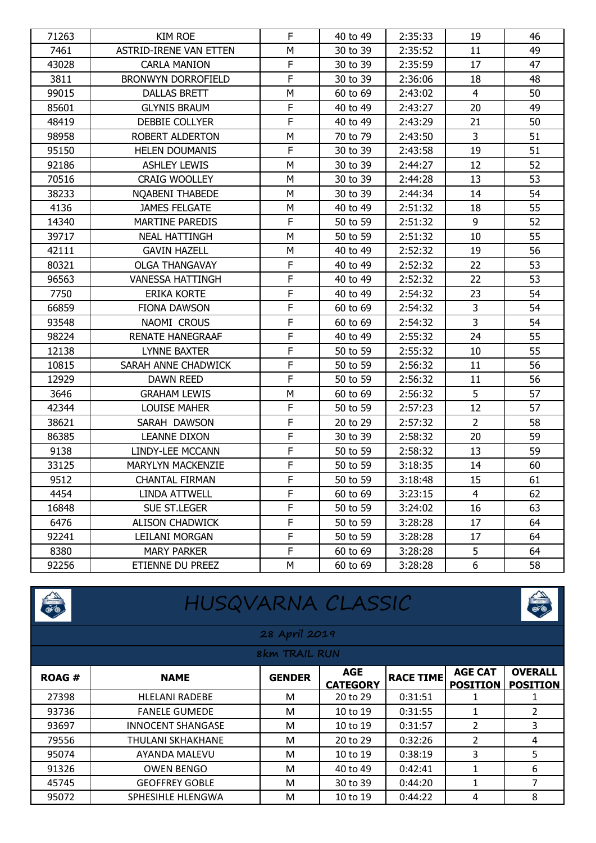| 71263 | <b>KIM ROE</b>                | F              | 40 to 49 | 2:35:33 | 19             | 46 |
|-------|-------------------------------|----------------|----------|---------|----------------|----|
| 7461  | <b>ASTRID-IRENE VAN ETTEN</b> | M              | 30 to 39 | 2:35:52 | 11             | 49 |
| 43028 | <b>CARLA MANION</b>           | $\mathsf F$    | 30 to 39 | 2:35:59 | 17             | 47 |
| 3811  | <b>BRONWYN DORROFIELD</b>     | F              | 30 to 39 | 2:36:06 | 18             | 48 |
| 99015 | <b>DALLAS BRETT</b>           | M              | 60 to 69 | 2:43:02 | $\overline{4}$ | 50 |
| 85601 | <b>GLYNIS BRAUM</b>           | $\mathsf F$    | 40 to 49 | 2:43:27 | 20             | 49 |
| 48419 | DEBBIE COLLYER                | F              | 40 to 49 | 2:43:29 | 21             | 50 |
| 98958 | ROBERT ALDERTON               | ${\sf M}$      | 70 to 79 | 2:43:50 | $\mathsf{3}$   | 51 |
| 95150 | <b>HELEN DOUMANIS</b>         | $\mathsf F$    | 30 to 39 | 2:43:58 | 19             | 51 |
| 92186 | <b>ASHLEY LEWIS</b>           | M              | 30 to 39 | 2:44:27 | 12             | 52 |
| 70516 | <b>CRAIG WOOLLEY</b>          | M              | 30 to 39 | 2:44:28 | 13             | 53 |
| 38233 | NQABENI THABEDE               | M              | 30 to 39 | 2:44:34 | 14             | 54 |
| 4136  | <b>JAMES FELGATE</b>          | M              | 40 to 49 | 2:51:32 | 18             | 55 |
| 14340 | <b>MARTINE PAREDIS</b>        | $\mathsf F$    | 50 to 59 | 2:51:32 | 9              | 52 |
| 39717 | <b>NEAL HATTINGH</b>          | M              | 50 to 59 | 2:51:32 | 10             | 55 |
| 42111 | <b>GAVIN HAZELL</b>           | M              | 40 to 49 | 2:52:32 | 19             | 56 |
| 80321 | <b>OLGA THANGAVAY</b>         | $\mathsf F$    | 40 to 49 | 2:52:32 | 22             | 53 |
| 96563 | <b>VANESSA HATTINGH</b>       | F              | 40 to 49 | 2:52:32 | 22             | 53 |
| 7750  | <b>ERIKA KORTE</b>            | $\mathsf F$    | 40 to 49 | 2:54:32 | 23             | 54 |
| 66859 | <b>FIONA DAWSON</b>           | F              | 60 to 69 | 2:54:32 | 3              | 54 |
| 93548 | NAOMI CROUS                   | F              | 60 to 69 | 2:54:32 | $\overline{3}$ | 54 |
| 98224 | <b>RENATE HANEGRAAF</b>       | $\mathsf F$    | 40 to 49 | 2:55:32 | 24             | 55 |
| 12138 | LYNNE BAXTER                  | F              | 50 to 59 | 2:55:32 | 10             | 55 |
| 10815 | SARAH ANNE CHADWICK           | $\overline{F}$ | 50 to 59 | 2:56:32 | 11             | 56 |
| 12929 | <b>DAWN REED</b>              | $\overline{F}$ | 50 to 59 | 2:56:32 | 11             | 56 |
| 3646  | <b>GRAHAM LEWIS</b>           | M              | 60 to 69 | 2:56:32 | 5              | 57 |
| 42344 | <b>LOUISE MAHER</b>           | $\mathsf F$    | 50 to 59 | 2:57:23 | 12             | 57 |
| 38621 | SARAH DAWSON                  | F              | 20 to 29 | 2:57:32 | $\overline{2}$ | 58 |
| 86385 | <b>LEANNE DIXON</b>           | $\overline{F}$ | 30 to 39 | 2:58:32 | 20             | 59 |
| 9138  | LINDY-LEE MCCANN              | $\mathsf F$    | 50 to 59 | 2:58:32 | 13             | 59 |
| 33125 | <b>MARYLYN MACKENZIE</b>      | F              | 50 to 59 | 3:18:35 | 14             | 60 |
| 9512  | CHANTAL FIRMAN                | ۲              | 50 to 59 | 3:18:48 | 15             | 61 |
| 4454  | LINDA ATTWELL                 | F              | 60 to 69 | 3:23:15 | $\overline{4}$ | 62 |
| 16848 | SUE ST.LEGER                  | F              | 50 to 59 | 3:24:02 | 16             | 63 |
| 6476  | <b>ALISON CHADWICK</b>        | F              | 50 to 59 | 3:28:28 | 17             | 64 |
| 92241 | LEILANI MORGAN                | F              | 50 to 59 | 3:28:28 | 17             | 64 |
| 8380  | <b>MARY PARKER</b>            | $\mathsf F$    | 60 to 69 | 3:28:28 | 5              | 64 |
| 92256 | ETIENNE DU PREEZ              | M              | 60 to 69 | 3:28:28 | 6              | 58 |

| <b>CONTENT</b> | HUSQVARNA CLASSIC        |               |                               |                  |                                   |                                   |  |
|----------------|--------------------------|---------------|-------------------------------|------------------|-----------------------------------|-----------------------------------|--|
|                |                          | 28 April 2019 |                               |                  |                                   |                                   |  |
| 8km TRAIL RUN  |                          |               |                               |                  |                                   |                                   |  |
| <b>ROAG#</b>   | <b>NAME</b>              | <b>GENDER</b> | <b>AGE</b><br><b>CATEGORY</b> | <b>RACE TIME</b> | <b>AGE CAT</b><br><b>POSITION</b> | <b>OVERALL</b><br><b>POSITION</b> |  |
| 27398          | <b>HLELANI RADEBE</b>    | M             | 20 to 29                      | 0:31:51          |                                   |                                   |  |
| 93736          | <b>FANELE GUMEDE</b>     | м             | 10 to 19                      | 0:31:55          | 1                                 | 2                                 |  |
| 93697          | <b>INNOCENT SHANGASE</b> | M             | 10 to 19                      | 0:31:57          | 2                                 | 3                                 |  |
| 79556          | <b>THULANI SKHAKHANE</b> | M             | 20 to 29                      | 0:32:26          | $\overline{2}$                    | 4                                 |  |
| 95074          | AYANDA MALEVU            | M             | 10 to 19                      | 0:38:19          | 3                                 | 5                                 |  |
| 91326          | <b>OWEN BENGO</b>        | M             | 40 to 49                      | 0:42:41          | 1                                 | 6                                 |  |
| 45745          | <b>GEOFFREY GOBLE</b>    | M             | 30 to 39                      | 0:44:20          | 1                                 | 7                                 |  |
| 95072          | SPHESIHLE HLENGWA        | M             | 10 to 19                      | 0:44:22          | 4                                 | 8                                 |  |

### HUSQVARNA CLASSIC

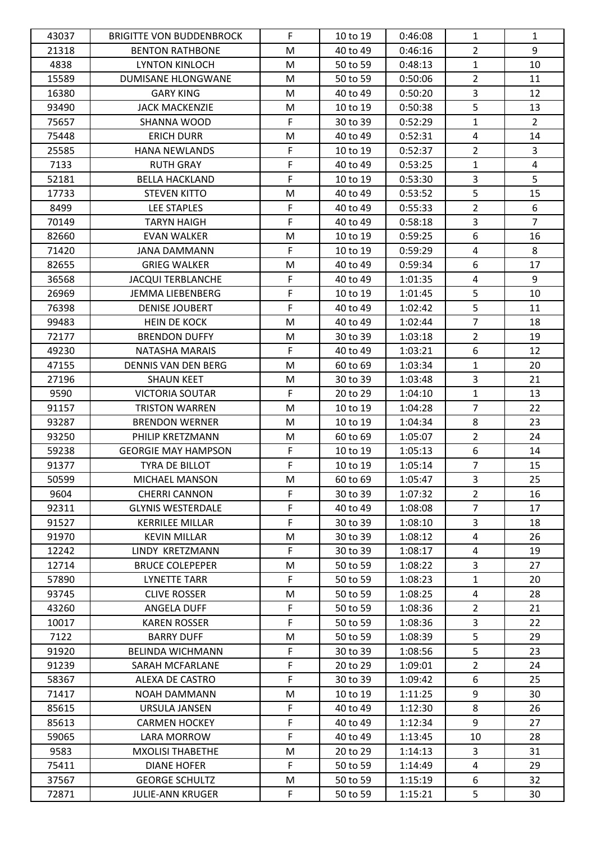| 43037 | <b>BRIGITTE VON BUDDENBROCK</b> | F           | 10 to 19 | 0:46:08 | 1              | 1              |
|-------|---------------------------------|-------------|----------|---------|----------------|----------------|
| 21318 | <b>BENTON RATHBONE</b>          | M           | 40 to 49 | 0:46:16 | $\overline{2}$ | 9              |
| 4838  | <b>LYNTON KINLOCH</b>           | M           | 50 to 59 | 0:48:13 | $\mathbf{1}$   | 10             |
| 15589 | DUMISANE HLONGWANE              | M           | 50 to 59 | 0:50:06 | $\overline{2}$ | 11             |
| 16380 | <b>GARY KING</b>                | M           | 40 to 49 | 0:50:20 | $\overline{3}$ | 12             |
| 93490 | <b>JACK MACKENZIE</b>           | M           | 10 to 19 | 0:50:38 | $\overline{5}$ | 13             |
| 75657 | SHANNA WOOD                     | F           | 30 to 39 | 0:52:29 | $\mathbf{1}$   | $\overline{2}$ |
| 75448 | <b>ERICH DURR</b>               | M           | 40 to 49 | 0:52:31 | $\overline{4}$ | 14             |
| 25585 | <b>HANA NEWLANDS</b>            | F           | 10 to 19 | 0:52:37 | $\overline{2}$ | $\mathbf{3}$   |
| 7133  | <b>RUTH GRAY</b>                | $\mathsf F$ | 40 to 49 | 0:53:25 | $\mathbf{1}$   | $\overline{4}$ |
| 52181 | <b>BELLA HACKLAND</b>           | $\mathsf F$ | 10 to 19 | 0:53:30 | $\overline{3}$ | 5              |
| 17733 | <b>STEVEN KITTO</b>             | M           | 40 to 49 | 0:53:52 | 5              | 15             |
| 8499  | <b>LEE STAPLES</b>              | F           | 40 to 49 | 0:55:33 | $\overline{2}$ | 6              |
| 70149 | <b>TARYN HAIGH</b>              | $\mathsf F$ | 40 to 49 | 0:58:18 | $\mathbf{3}$   | $\overline{7}$ |
| 82660 | <b>EVAN WALKER</b>              | M           | 10 to 19 | 0:59:25 | 6              | 16             |
| 71420 | <b>JANA DAMMANN</b>             | F           | 10 to 19 | 0:59:29 | $\overline{4}$ | 8              |
| 82655 | <b>GRIEG WALKER</b>             | M           | 40 to 49 | 0:59:34 | 6              | 17             |
| 36568 | <b>JACQUI TERBLANCHE</b>        | F           | 40 to 49 | 1:01:35 | $\overline{4}$ | 9              |
| 26969 | <b>JEMMA LIEBENBERG</b>         | $\mathsf F$ | 10 to 19 | 1:01:45 | 5              | 10             |
| 76398 | <b>DENISE JOUBERT</b>           | F           | 40 to 49 | 1:02:42 | 5              | 11             |
| 99483 | HEIN DE KOCK                    | M           | 40 to 49 | 1:02:44 | $\overline{7}$ | 18             |
| 72177 | <b>BRENDON DUFFY</b>            | M           | 30 to 39 | 1:03:18 | $\overline{2}$ | 19             |
| 49230 | NATASHA MARAIS                  | F           | 40 to 49 | 1:03:21 | 6              | 12             |
| 47155 | <b>DENNIS VAN DEN BERG</b>      | M           | 60 to 69 | 1:03:34 | $\mathbf{1}$   | 20             |
| 27196 | <b>SHAUN KEET</b>               | M           | 30 to 39 | 1:03:48 | 3              | 21             |
| 9590  | VICTORIA SOUTAR                 | F           | 20 to 29 | 1:04:10 | $\mathbf{1}$   | 13             |
| 91157 | <b>TRISTON WARREN</b>           | M           | 10 to 19 | 1:04:28 | $\overline{7}$ | 22             |
| 93287 | <b>BRENDON WERNER</b>           | M           | 10 to 19 | 1:04:34 | 8              | 23             |
| 93250 | PHILIP KRETZMANN                | M           | 60 to 69 | 1:05:07 | $\overline{2}$ | 24             |
| 59238 | <b>GEORGIE MAY HAMPSON</b>      | F           | 10 to 19 | 1:05:13 | 6              | 14             |
| 91377 | TYRA DE BILLOT                  | F           | 10 to 19 | 1:05:14 | $\overline{7}$ | 15             |
| 50599 | MICHAEL MANSON                  | M           | 60 to 69 | 1:05:47 | $\overline{3}$ | 25             |
| 9604  | <b>CHERRI CANNON</b>            | F           | 30 to 39 | 1:07:32 | $\overline{2}$ | 16             |
| 92311 | <b>GLYNIS WESTERDALE</b>        | F           | 40 to 49 | 1:08:08 | $\overline{7}$ | 17             |
| 91527 | <b>KERRILEE MILLAR</b>          | F           | 30 to 39 | 1:08:10 | 3              | 18             |
| 91970 | <b>KEVIN MILLAR</b>             | M           | 30 to 39 | 1:08:12 | 4              | 26             |
| 12242 | LINDY KRETZMANN                 | F           | 30 to 39 | 1:08:17 | 4              | 19             |
| 12714 | <b>BRUCE COLEPEPER</b>          | M           | 50 to 59 | 1:08:22 | 3              | 27             |
| 57890 | <b>LYNETTE TARR</b>             | F.          | 50 to 59 | 1:08:23 | $\mathbf{1}$   | 20             |
| 93745 | <b>CLIVE ROSSER</b>             | M           | 50 to 59 | 1:08:25 | 4              | 28             |
| 43260 | ANGELA DUFF                     | F           | 50 to 59 | 1:08:36 | $\overline{2}$ | 21             |
| 10017 | <b>KAREN ROSSER</b>             | F           | 50 to 59 | 1:08:36 | 3              | 22             |
| 7122  | <b>BARRY DUFF</b>               | M           | 50 to 59 | 1:08:39 | 5              | 29             |
| 91920 | <b>BELINDA WICHMANN</b>         | F           | 30 to 39 | 1:08:56 | 5              | 23             |
| 91239 | SARAH MCFARLANE                 | F           | 20 to 29 | 1:09:01 | $\overline{2}$ | 24             |
| 58367 | ALEXA DE CASTRO                 | F           | 30 to 39 | 1:09:42 | 6              | 25             |
| 71417 | <b>NOAH DAMMANN</b>             | м           | 10 to 19 | 1:11:25 | 9              | 30             |
| 85615 | URSULA JANSEN                   | F           | 40 to 49 | 1:12:30 | 8              | 26             |
| 85613 | <b>CARMEN HOCKEY</b>            | F           | 40 to 49 | 1:12:34 | 9              | 27             |
| 59065 | <b>LARA MORROW</b>              | F           | 40 to 49 | 1:13:45 | 10             | 28             |
| 9583  | <b>MXOLISI THABETHE</b>         | M           | 20 to 29 | 1:14:13 | 3              | 31             |
| 75411 | <b>DIANE HOFER</b>              | $\mathsf F$ | 50 to 59 | 1:14:49 | 4              | 29             |
| 37567 | <b>GEORGE SCHULTZ</b>           | M           | 50 to 59 | 1:15:19 | 6              | 32             |
| 72871 | <b>JULIE-ANN KRUGER</b>         | F.          | 50 to 59 | 1:15:21 | 5              | 30             |